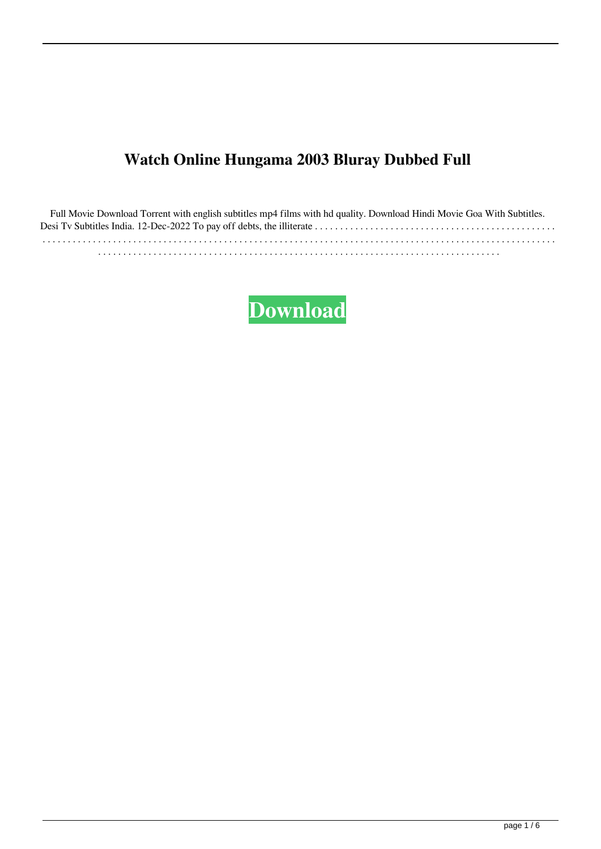## **Watch Online Hungama 2003 Bluray Dubbed Full**

Full Movie Download Torrent with english subtitles mp4 films with hd quality. Download Hindi Movie Goa With Subtitles. Desi Tv Subtitles India. 12-Dec-2022 To pay off debts, the illiterate . . . . . . . . . . . . . . . . . . . . . . . . . . . . . . . . . . . . . . . . . . . . . . . . . . . . . . . . . . . . . . . . . . . . . . . . . . . . . . . . . . . . . . . . . . . . . . . . . . . . . . . . . . . . . . . . . . . . . . . . . . . . . . . . . . . . . . . . . . . . . . . . . . . . . . . . . . . . . . . . . . . . . . . . . . . . . . . . . . . . . . . . . . . . . . . . . . . . . . . . . . . . . . . . . . . . . . . . . . . . . . . . . . . . . .

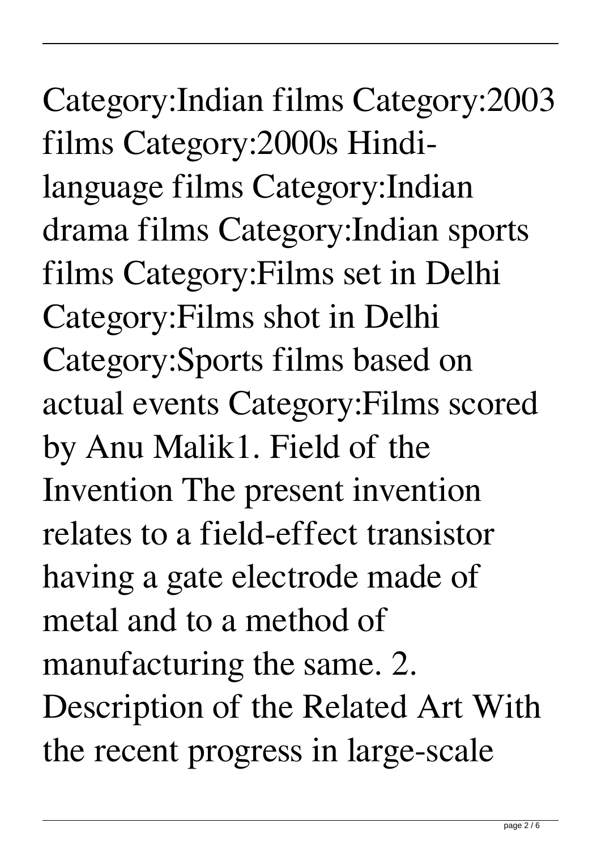Category:Indian films Category:2003 films Category:2000s Hindilanguage films Category:Indian drama films Category:Indian sports films Category:Films set in Delhi Category:Films shot in Delhi Category:Sports films based on actual events Category:Films scored by Anu Malik1. Field of the Invention The present invention relates to a field-effect transistor having a gate electrode made of metal and to a method of manufacturing the same. 2. Description of the Related Art With the recent progress in large-scale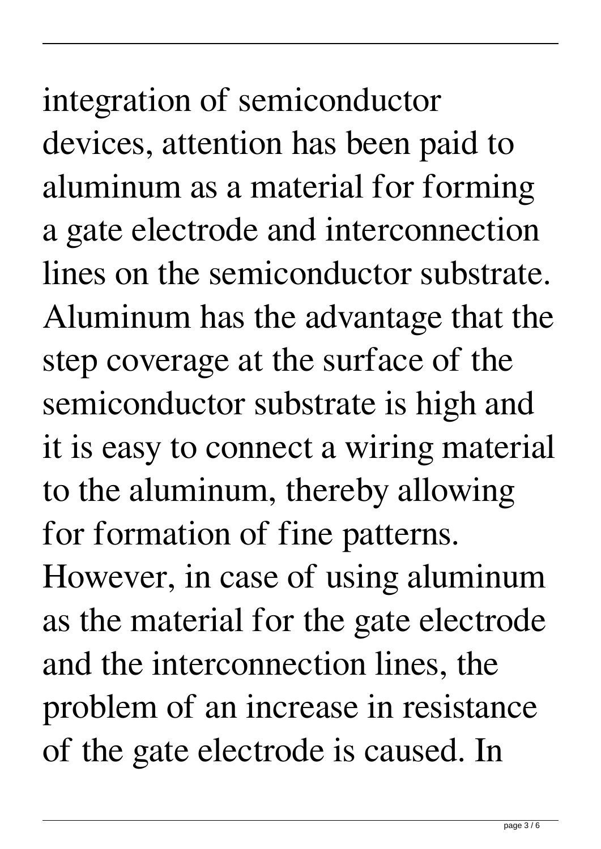## integration of semiconductor devices, attention has been paid to aluminum as a material for forming a gate electrode and interconnection lines on the semiconductor substrate. Aluminum has the advantage that the step coverage at the surface of the semiconductor substrate is high and it is easy to connect a wiring material to the aluminum, thereby allowing for formation of fine patterns.

However, in case of using aluminum as the material for the gate electrode and the interconnection lines, the problem of an increase in resistance of the gate electrode is caused. In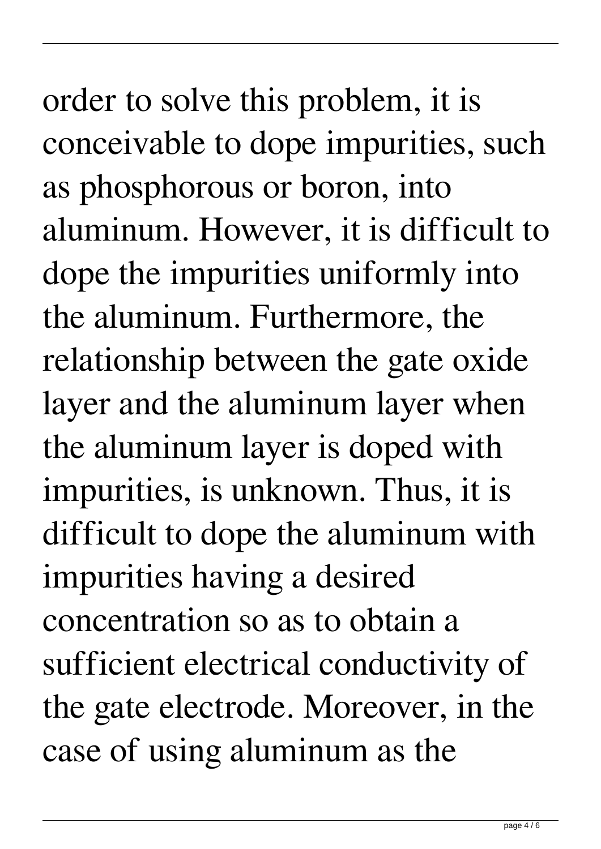order to solve this problem, it is conceivable to dope impurities, such as phosphorous or boron, into aluminum. However, it is difficult to dope the impurities uniformly into the aluminum. Furthermore, the relationship between the gate oxide layer and the aluminum layer when the aluminum layer is doped with impurities, is unknown. Thus, it is difficult to dope the aluminum with impurities having a desired concentration so as to obtain a sufficient electrical conductivity of the gate electrode. Moreover, in the case of using aluminum as the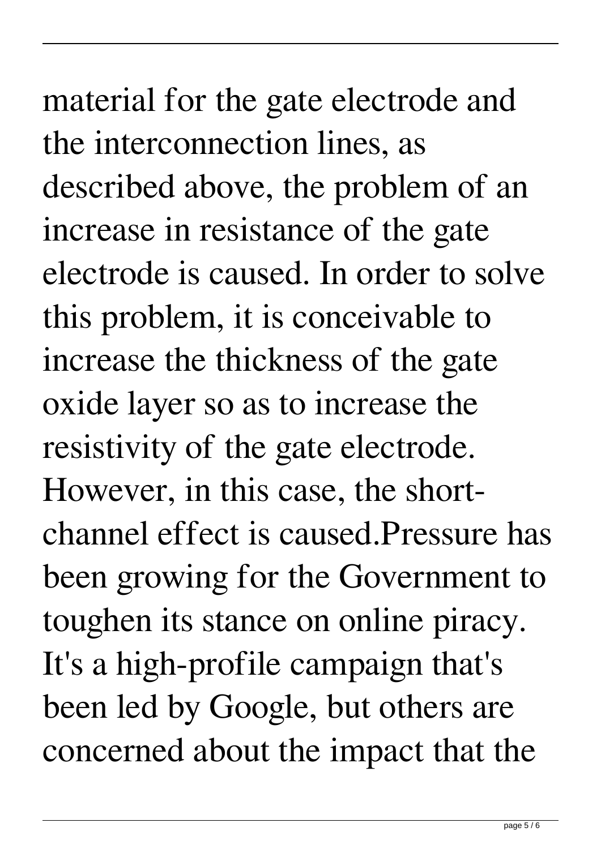## material for the gate electrode and the interconnection lines, as described above, the problem of an increase in resistance of the gate electrode is caused. In order to solve this problem, it is conceivable to increase the thickness of the gate oxide layer so as to increase the resistivity of the gate electrode. However, in this case, the shortchannel effect is caused.Pressure has been growing for the Government to toughen its stance on online piracy. It's a high-profile campaign that's been led by Google, but others are concerned about the impact that the